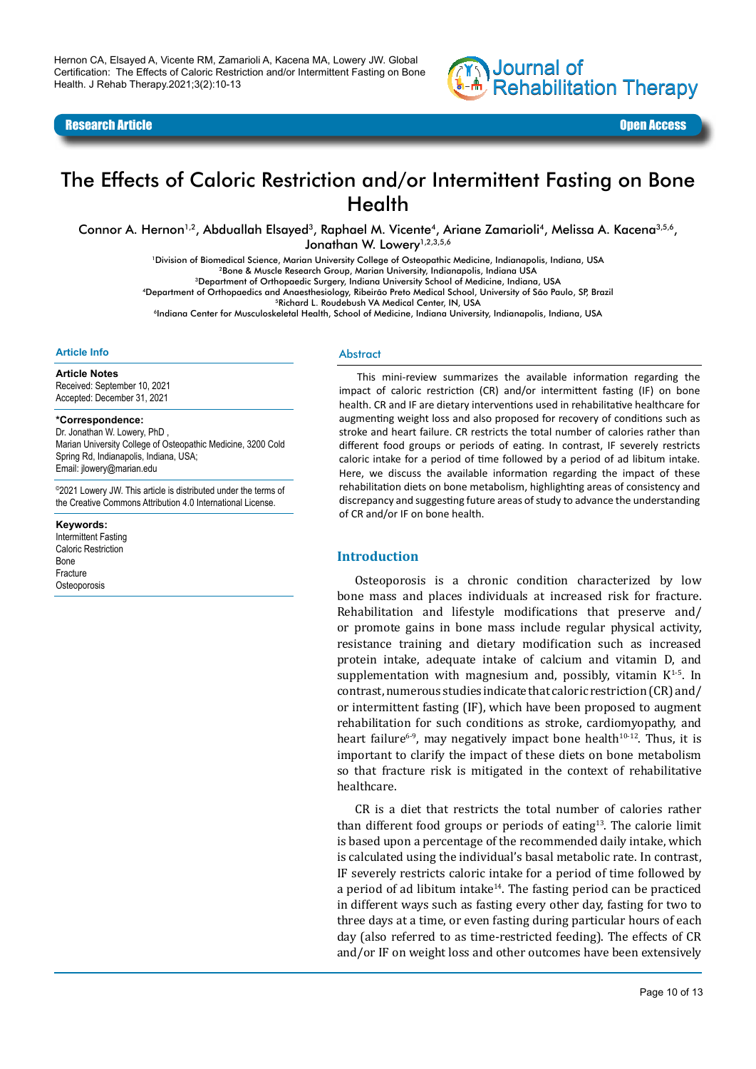

Research Article Open Access

# The Effects of Caloric Restriction and/or Intermittent Fasting on Bone **Health**

Connor A. Hernon<sup>1,2</sup>, Abduallah Elsayed<sup>3</sup>, Raphael M. Vicente<sup>4</sup>, Ariane Zamarioli<sup>4</sup>, Melissa A. Kacena<sup>3,5,6</sup>, Jonathan W. Lowery<sup>1,2,3,5,6</sup>

1Division of Biomedical Science, Marian University College of Osteopathic Medicine, Indianapolis, Indiana, USA

2Bone & Muscle Research Group, Marian University, Indianapolis, Indiana USA

3Department of Orthopaedic Surgery, Indiana University School of Medicine, Indiana, USA

4Department of Orthopaedics and Anaesthesiology, Ribeirão Preto Medical School, University of São Paulo, SP, Brazil

5Richard L. Roudebush VA Medical Center, IN, USA

6Indiana Center for Musculoskeletal Health, School of Medicine, Indiana University, Indianapolis, Indiana, USA

#### **Article Info**

#### **Article Notes**

Received: September 10, 2021 Accepted: December 31, 2021

#### **\*Correspondence:**

Dr. Jonathan W. Lowery, PhD , Marian University College of Osteopathic Medicine, 3200 Cold Spring Rd, Indianapolis, Indiana, USA; Email: jlowery@marian.edu

©2021 Lowery JW. This article is distributed under the terms of the Creative Commons Attribution 4.0 International License.

**Keywords:** 

Intermittent Fasting Caloric Restriction Bone Fracture **Osteoporosis** 

#### Abstract

This mini-review summarizes the available information regarding the impact of caloric restriction (CR) and/or intermittent fasting (IF) on bone health. CR and IF are dietary interventions used in rehabilitative healthcare for augmenting weight loss and also proposed for recovery of conditions such as stroke and heart failure. CR restricts the total number of calories rather than different food groups or periods of eating. In contrast, IF severely restricts caloric intake for a period of time followed by a period of ad libitum intake. Here, we discuss the available information regarding the impact of these rehabilitation diets on bone metabolism, highlighting areas of consistency and discrepancy and suggesting future areas of study to advance the understanding of CR and/or IF on bone health.

#### **Introduction**

Osteoporosis is a chronic condition characterized by low bone mass and places individuals at increased risk for fracture. Rehabilitation and lifestyle modifications that preserve and/ or promote gains in bone mass include regular physical activity, resistance training and dietary modification such as increased protein intake, adequate intake of calcium and vitamin D, and supplementation with magnesium and, possibly, vitamin  $K^{1-5}$ . In contrast, numerous studies indicate that caloric restriction (CR) and/ or intermittent fasting (IF), which have been proposed to augment rehabilitation for such conditions as stroke, cardiomyopathy, and heart failure<sup>6-9</sup>, may negatively impact bone health<sup>10-12</sup>. Thus, it is important to clarify the impact of these diets on bone metabolism so that fracture risk is mitigated in the context of rehabilitative healthcare.

CR is a diet that restricts the total number of calories rather than different food groups or periods of eating $13$ . The calorie limit is based upon a percentage of the recommended daily intake, which is calculated using the individual's basal metabolic rate. In contrast, IF severely restricts caloric intake for a period of time followed by a period of ad libitum intake $14$ . The fasting period can be practiced in different ways such as fasting every other day, fasting for two to three days at a time, or even fasting during particular hours of each day (also referred to as time-restricted feeding). The effects of CR and/or IF on weight loss and other outcomes have been extensively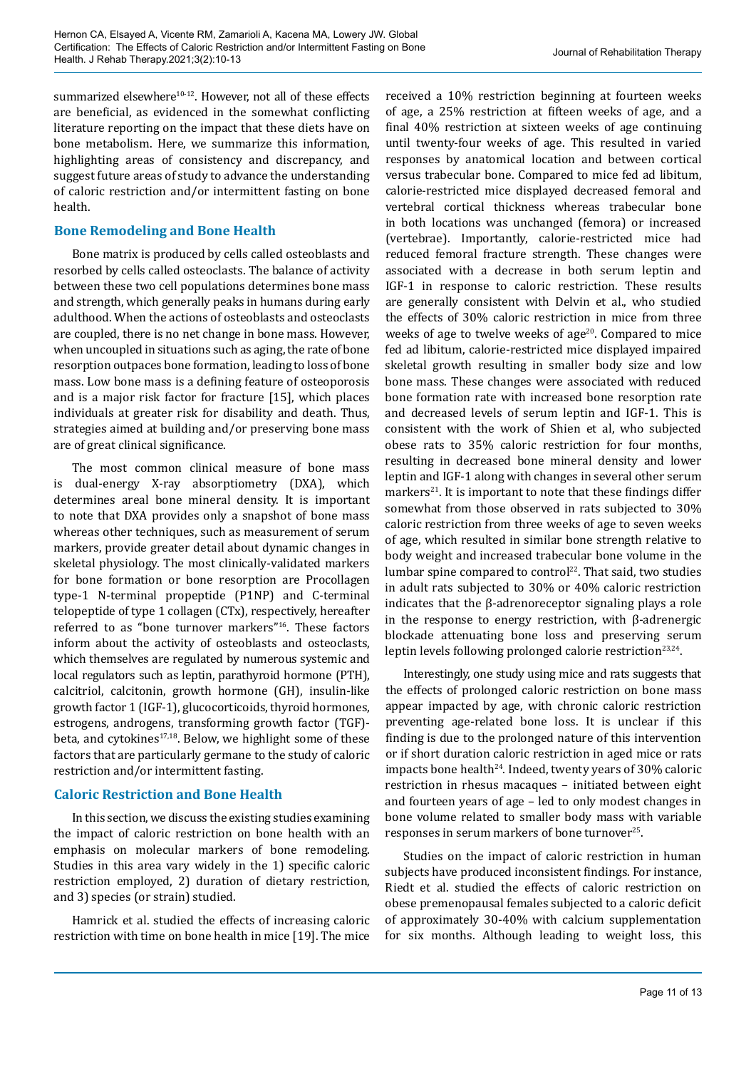summarized elsewhere<sup>10-12</sup>. However, not all of these effects are beneficial, as evidenced in the somewhat conflicting literature reporting on the impact that these diets have on bone metabolism. Here, we summarize this information, highlighting areas of consistency and discrepancy, and suggest future areas of study to advance the understanding of caloric restriction and/or intermittent fasting on bone health.

#### **Bone Remodeling and Bone Health**

Bone matrix is produced by cells called osteoblasts and resorbed by cells called osteoclasts. The balance of activity between these two cell populations determines bone mass and strength, which generally peaks in humans during early adulthood. When the actions of osteoblasts and osteoclasts are coupled, there is no net change in bone mass. However, when uncoupled in situations such as aging, the rate of bone resorption outpaces bone formation, leading to loss of bone mass. Low bone mass is a defining feature of osteoporosis and is a major risk factor for fracture [15], which places individuals at greater risk for disability and death. Thus, strategies aimed at building and/or preserving bone mass are of great clinical significance.

The most common clinical measure of bone mass is dual-energy X-ray absorptiometry (DXA), which determines areal bone mineral density. It is important to note that DXA provides only a snapshot of bone mass whereas other techniques, such as measurement of serum markers, provide greater detail about dynamic changes in skeletal physiology. The most clinically-validated markers for bone formation or bone resorption are Procollagen type-1 N-terminal propeptide (P1NP) and C-terminal telopeptide of type 1 collagen (CTx), respectively, hereafter referred to as "bone turnover markers"16. These factors inform about the activity of osteoblasts and osteoclasts, which themselves are regulated by numerous systemic and local regulators such as leptin, parathyroid hormone (PTH), calcitriol, calcitonin, growth hormone (GH), insulin-like growth factor 1 (IGF-1), glucocorticoids, thyroid hormones, estrogens, androgens, transforming growth factor (TGF) beta, and cytokines<sup>17,18</sup>. Below, we highlight some of these factors that are particularly germane to the study of caloric restriction and/or intermittent fasting.

## **Caloric Restriction and Bone Health**

In this section, we discuss the existing studies examining the impact of caloric restriction on bone health with an emphasis on molecular markers of bone remodeling. Studies in this area vary widely in the 1) specific caloric restriction employed, 2) duration of dietary restriction, and 3) species (or strain) studied.

Hamrick et al. studied the effects of increasing caloric restriction with time on bone health in mice [19]. The mice

received a 10% restriction beginning at fourteen weeks of age, a 25% restriction at fifteen weeks of age, and a final 40% restriction at sixteen weeks of age continuing until twenty-four weeks of age. This resulted in varied responses by anatomical location and between cortical versus trabecular bone. Compared to mice fed ad libitum, calorie-restricted mice displayed decreased femoral and vertebral cortical thickness whereas trabecular bone in both locations was unchanged (femora) or increased (vertebrae). Importantly, calorie-restricted mice had reduced femoral fracture strength. These changes were associated with a decrease in both serum leptin and IGF-1 in response to caloric restriction. These results are generally consistent with Delvin et al., who studied the effects of 30% caloric restriction in mice from three weeks of age to twelve weeks of age $20$ . Compared to mice fed ad libitum, calorie-restricted mice displayed impaired skeletal growth resulting in smaller body size and low bone mass. These changes were associated with reduced bone formation rate with increased bone resorption rate and decreased levels of serum leptin and IGF-1. This is consistent with the work of Shien et al, who subjected obese rats to 35% caloric restriction for four months, resulting in decreased bone mineral density and lower leptin and IGF-1 along with changes in several other serum markers $21$ . It is important to note that these findings differ somewhat from those observed in rats subjected to 30% caloric restriction from three weeks of age to seven weeks of age, which resulted in similar bone strength relative to body weight and increased trabecular bone volume in the lumbar spine compared to control<sup>22</sup>. That said, two studies in adult rats subjected to 30% or 40% caloric restriction indicates that the β-adrenoreceptor signaling plays a role in the response to energy restriction, with β-adrenergic blockade attenuating bone loss and preserving serum leptin levels following prolonged calorie restriction<sup>23,24</sup>.

Interestingly, one study using mice and rats suggests that the effects of prolonged caloric restriction on bone mass appear impacted by age, with chronic caloric restriction preventing age-related bone loss. It is unclear if this finding is due to the prolonged nature of this intervention or if short duration caloric restriction in aged mice or rats impacts bone health<sup>24</sup>. Indeed, twenty years of 30% caloric restriction in rhesus macaques – initiated between eight and fourteen years of age – led to only modest changes in bone volume related to smaller body mass with variable responses in serum markers of bone turnover<sup>25</sup>.

Studies on the impact of caloric restriction in human subjects have produced inconsistent findings. For instance, Riedt et al. studied the effects of caloric restriction on obese premenopausal females subjected to a caloric deficit of approximately 30-40% with calcium supplementation for six months. Although leading to weight loss, this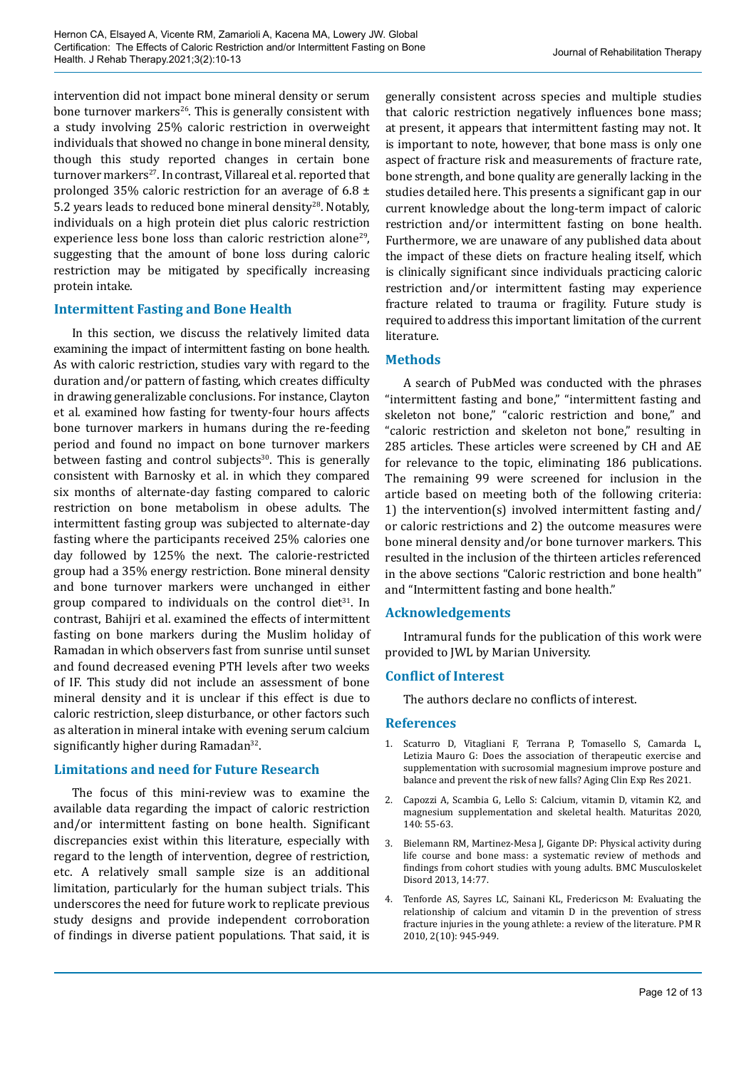intervention did not impact bone mineral density or serum bone turnover markers<sup>26</sup>. This is generally consistent with a study involving 25% caloric restriction in overweight individuals that showed no change in bone mineral density, though this study reported changes in certain bone turnover markers<sup>27</sup>. In contrast, Villareal et al. reported that prolonged 35% caloric restriction for an average of 6.8  $\pm$ 5.2 years leads to reduced bone mineral density<sup>28</sup>. Notably, individuals on a high protein diet plus caloric restriction experience less bone loss than caloric restriction alone<sup>29</sup>. suggesting that the amount of bone loss during caloric restriction may be mitigated by specifically increasing protein intake.

## **Intermittent Fasting and Bone Health**

In this section, we discuss the relatively limited data examining the impact of intermittent fasting on bone health. As with caloric restriction, studies vary with regard to the duration and/or pattern of fasting, which creates difficulty in drawing generalizable conclusions. For instance, Clayton et al. examined how fasting for twenty-four hours affects bone turnover markers in humans during the re-feeding period and found no impact on bone turnover markers between fasting and control subjects<sup>30</sup>. This is generally consistent with Barnosky et al. in which they compared six months of alternate-day fasting compared to caloric restriction on bone metabolism in obese adults. The intermittent fasting group was subjected to alternate-day fasting where the participants received 25% calories one day followed by 125% the next. The calorie-restricted group had a 35% energy restriction. Bone mineral density and bone turnover markers were unchanged in either group compared to individuals on the control diet $31$ . In contrast, Bahijri et al. examined the effects of intermittent fasting on bone markers during the Muslim holiday of Ramadan in which observers fast from sunrise until sunset and found decreased evening PTH levels after two weeks of IF. This study did not include an assessment of bone mineral density and it is unclear if this effect is due to caloric restriction, sleep disturbance, or other factors such as alteration in mineral intake with evening serum calcium significantly higher during Ramadan<sup>32</sup>.

## **Limitations and need for Future Research**

The focus of this mini-review was to examine the available data regarding the impact of caloric restriction and/or intermittent fasting on bone health. Significant discrepancies exist within this literature, especially with regard to the length of intervention, degree of restriction, etc. A relatively small sample size is an additional limitation, particularly for the human subject trials. This underscores the need for future work to replicate previous study designs and provide independent corroboration of findings in diverse patient populations. That said, it is

generally consistent across species and multiple studies that caloric restriction negatively influences bone mass; at present, it appears that intermittent fasting may not. It is important to note, however, that bone mass is only one aspect of fracture risk and measurements of fracture rate, bone strength, and bone quality are generally lacking in the studies detailed here. This presents a significant gap in our current knowledge about the long-term impact of caloric restriction and/or intermittent fasting on bone health. Furthermore, we are unaware of any published data about the impact of these diets on fracture healing itself, which is clinically significant since individuals practicing caloric restriction and/or intermittent fasting may experience fracture related to trauma or fragility. Future study is required to address this important limitation of the current literature.

## **Methods**

A search of PubMed was conducted with the phrases "intermittent fasting and bone," "intermittent fasting and skeleton not bone," "caloric restriction and bone," and "caloric restriction and skeleton not bone," resulting in 285 articles. These articles were screened by CH and AE for relevance to the topic, eliminating 186 publications. The remaining 99 were screened for inclusion in the article based on meeting both of the following criteria: 1) the intervention(s) involved intermittent fasting and/ or caloric restrictions and 2) the outcome measures were bone mineral density and/or bone turnover markers. This resulted in the inclusion of the thirteen articles referenced in the above sections "Caloric restriction and bone health" and "Intermittent fasting and bone health."

#### **Acknowledgements**

Intramural funds for the publication of this work were provided to JWL by Marian University.

#### **Conflict of Interest**

The authors declare no conflicts of interest.

#### **References**

- 1. Scaturro D, Vitagliani F, Terrana P, Tomasello S, Camarda L, Letizia Mauro G: Does the association of therapeutic exercise and supplementation with sucrosomial magnesium improve posture and balance and prevent the risk of new falls? Aging Clin Exp Res 2021.
- 2. Capozzi A, Scambia G, Lello S: Calcium, vitamin D, vitamin K2, and magnesium supplementation and skeletal health. Maturitas 2020, 140: 55-63.
- 3. Bielemann RM, Martinez-Mesa J, Gigante DP: Physical activity during life course and bone mass: a systematic review of methods and findings from cohort studies with young adults. BMC Musculoskelet Disord 2013, 14:77.
- 4. Tenforde AS, Sayres LC, Sainani KL, Fredericson M: Evaluating the relationship of calcium and vitamin D in the prevention of stress fracture injuries in the young athlete: a review of the literature. PM R 2010, 2(10): 945-949.